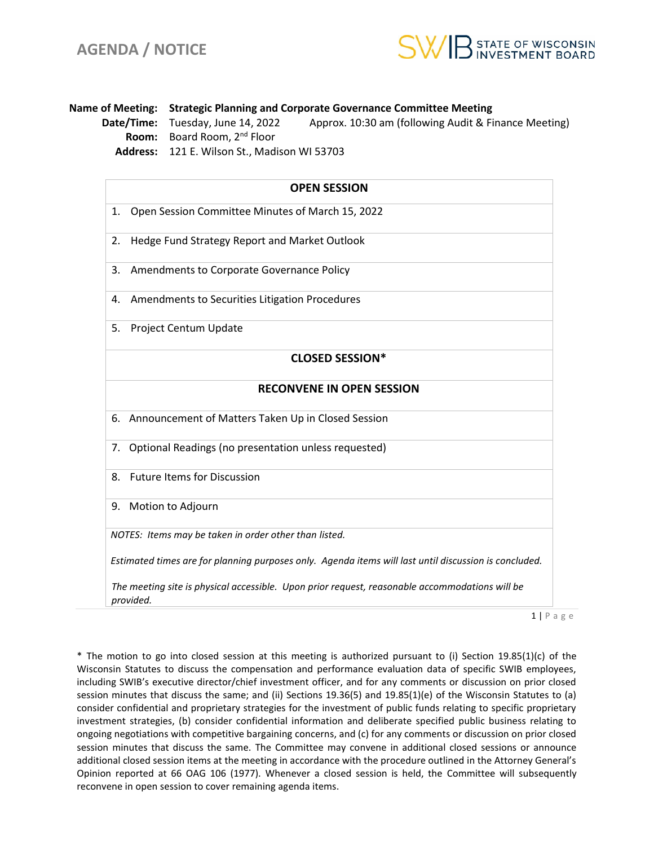

**Name of Meeting: Strategic Planning and Corporate Governance Committee Meeting Date/Time:** Tuesday, June 14, 2022 Approx. 10:30 am (following Audit & Finance Meeting) **Room:** Board Room, 2nd Floor **Address:** 121 E. Wilson St., Madison WI 53703

| <b>OPEN SESSION</b>                                                                                         |                                                         |
|-------------------------------------------------------------------------------------------------------------|---------------------------------------------------------|
| 1.                                                                                                          | Open Session Committee Minutes of March 15, 2022        |
| 2.                                                                                                          | Hedge Fund Strategy Report and Market Outlook           |
| 3.                                                                                                          | Amendments to Corporate Governance Policy               |
| 4.                                                                                                          | Amendments to Securities Litigation Procedures          |
| 5.                                                                                                          | Project Centum Update                                   |
|                                                                                                             | <b>CLOSED SESSION*</b>                                  |
| <b>RECONVENE IN OPEN SESSION</b>                                                                            |                                                         |
|                                                                                                             | 6. Announcement of Matters Taken Up in Closed Session   |
|                                                                                                             | 7. Optional Readings (no presentation unless requested) |
| 8.                                                                                                          | <b>Future Items for Discussion</b>                      |
|                                                                                                             | 9. Motion to Adjourn                                    |
| NOTES: Items may be taken in order other than listed.                                                       |                                                         |
| Estimated times are for planning purposes only. Agenda items will last until discussion is concluded.       |                                                         |
| The meeting site is physical accessible. Upon prior request, reasonable accommodations will be<br>provided. |                                                         |

 $1 | P$  a g e

\* The motion to go into closed session at this meeting is authorized pursuant to (i) Section 19.85(1)(c) of the Wisconsin Statutes to discuss the compensation and performance evaluation data of specific SWIB employees, including SWIB's executive director/chief investment officer, and for any comments or discussion on prior closed session minutes that discuss the same; and (ii) Sections 19.36(5) and 19.85(1)(e) of the Wisconsin Statutes to (a) consider confidential and proprietary strategies for the investment of public funds relating to specific proprietary investment strategies, (b) consider confidential information and deliberate specified public business relating to ongoing negotiations with competitive bargaining concerns, and (c) for any comments or discussion on prior closed session minutes that discuss the same. The Committee may convene in additional closed sessions or announce additional closed session items at the meeting in accordance with the procedure outlined in the Attorney General's Opinion reported at 66 OAG 106 (1977). Whenever a closed session is held, the Committee will subsequently reconvene in open session to cover remaining agenda items.